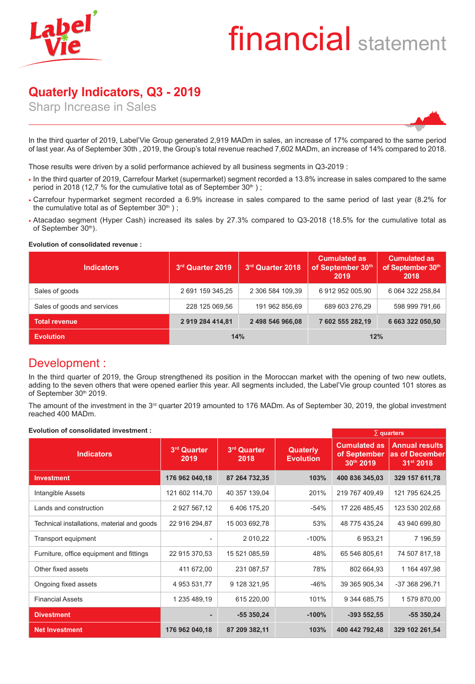# financial statement

# **Quaterly Indicators, Q3 - 2019**

Sharp Increase in Sales



In the third quarter of 2019, Label'Vie Group generated 2,919 MADm in sales, an increase of 17% compared to the same period of last year. As of September 30th , 2019, the Group's total revenue reached 7,602 MADm, an increase of 14% compared to 2018.

Those results were driven by a solid performance achieved by all business segments in Q3-2019 :

- In the third quarter of 2019, Carrefour Market (supermarket) segment recorded a 13.8% increase in sales compared to the same period in 2018 (12,7 % for the cumulative total as of September  $30<sup>th</sup>$ );
- Carrefour hypermarket segment recorded a 6.9% increase in sales compared to the same period of last year (8.2% for the cumulative total as of September  $30<sup>th</sup>$ );
- Atacadao segment (Hyper Cash) increased its sales by 27.3% compared to Q3-2018 (18.5% for the cumulative total as of September 30th).

#### **Evolution of consolidated revenue :**

| <b>Indicators</b>           | 3rd Quarter 2019 | 3rd Quarter 2018 | <b>Cumulated as</b><br>of September 30th<br>2019 | <b>Cumulated as</b><br>of September 30th<br>2018 |  |
|-----------------------------|------------------|------------------|--------------------------------------------------|--------------------------------------------------|--|
| Sales of goods              | 2 691 159 345,25 | 2 306 584 109,39 | 6 912 952 005,90                                 | 6 064 322 258,84                                 |  |
| Sales of goods and services | 228 125 069,56   | 191 962 856,69   | 689 603 276.29                                   | 598 999 791,66                                   |  |
| <b>Total revenue</b>        | 2 919 284 414,81 | 2 498 546 966,08 | 7 602 555 282,19                                 | 6 663 322 050,50                                 |  |
| <b>Evolution</b>            | 14%              |                  | 12%                                              |                                                  |  |

### Development :

In the third quarter of 2019, the Group strengthened its position in the Moroccan market with the opening of two new outlets, adding to the seven others that were opened earlier this year. All segments included, the Label'Vie group counted 101 stores as of September 30th 2019.

The amount of the investment in the 3<sup>rd</sup> quarter 2019 amounted to 176 MADm. As of September 30, 2019, the global investment reached 400 MADm.

#### **Evolution of consolidated investment :**

| Evolution of consolidated investment .      | $\sum$ quarters     |                     |                                     |                                                  |                                                      |
|---------------------------------------------|---------------------|---------------------|-------------------------------------|--------------------------------------------------|------------------------------------------------------|
| <b>Indicators</b>                           | 3rd Quarter<br>2019 | 3rd Quarter<br>2018 | <b>Quaterly</b><br><b>Evolution</b> | <b>Cumulated as</b><br>of September<br>30th 2019 | <b>Annual results</b><br>as of December<br>31st 2018 |
| <b>Investment</b>                           | 176 962 040,18      | 87 264 732,35       | 103%                                | 400 836 345,03                                   | 329 157 611,78                                       |
| Intangible Assets                           | 121 602 114,70      | 40 357 139,04       | 201%                                | 219 767 409,49                                   | 121 795 624,25                                       |
| Lands and construction                      | 2 927 567,12        | 6 406 175,20        | $-54%$                              | 17 226 485,45                                    | 123 530 202,68                                       |
| Technical installations, material and goods | 22 916 294,87       | 15 003 692,78       | 53%                                 | 48 775 435,24                                    | 43 940 699,80                                        |
| Transport equipment                         |                     | 2 010,22            | $-100%$                             | 6 953,21                                         | 7 196,59                                             |
| Furniture, office equipment and fittings    | 22 915 370,53       | 15 521 085,59       | 48%                                 | 65 546 805,61                                    | 74 507 817,18                                        |
| Other fixed assets                          | 411 672,00          | 231 087,57          | 78%                                 | 802 664,93                                       | 1 164 497,98                                         |
| Ongoing fixed assets                        | 4 953 531,77        | 9 128 321,95        | -46%                                | 39 365 905,34                                    | -37 368 296,71                                       |
| <b>Financial Assets</b>                     | 1 235 489,19        | 615 220,00          | 101%                                | 9 344 685,75                                     | 1 579 870,00                                         |
| <b>Divestment</b>                           |                     | $-55350,24$         | $-100%$                             | $-393552,55$                                     | $-55350,24$                                          |
| <b>Net Investment</b>                       | 176 962 040,18      | 87 209 382,11       | 103%                                | 400 442 792,48                                   | 329 102 261,54                                       |